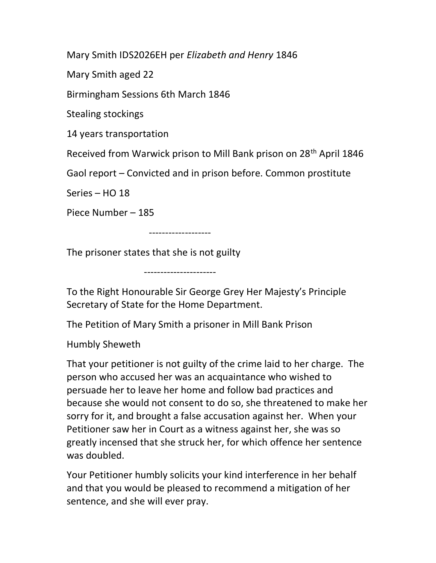Mary Smith IDS2026EH per Elizabeth and Henry 1846

Mary Smith aged 22

Birmingham Sessions 6th March 1846

Stealing stockings

14 years transportation

Received from Warwick prison to Mill Bank prison on 28th April 1846

Gaol report – Convicted and in prison before. Common prostitute

Series – HO 18

Piece Number – 185

-------------------

The prisoner states that she is not guilty

----------------------

To the Right Honourable Sir George Grey Her Majesty's Principle Secretary of State for the Home Department.

The Petition of Mary Smith a prisoner in Mill Bank Prison

Humbly Sheweth

That your petitioner is not guilty of the crime laid to her charge. The person who accused her was an acquaintance who wished to persuade her to leave her home and follow bad practices and because she would not consent to do so, she threatened to make her sorry for it, and brought a false accusation against her. When your Petitioner saw her in Court as a witness against her, she was so greatly incensed that she struck her, for which offence her sentence was doubled.

Your Petitioner humbly solicits your kind interference in her behalf and that you would be pleased to recommend a mitigation of her sentence, and she will ever pray.